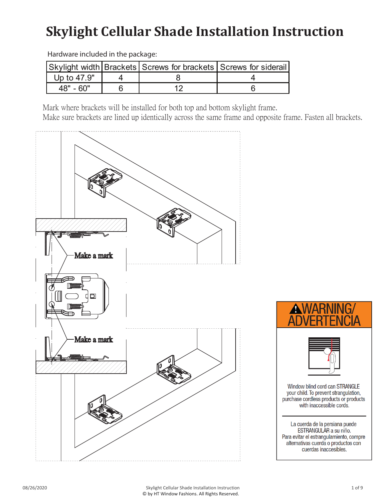## **Skylight Cellular Shade Installation Instruction**

|             | Skylight width Brackets Screws for brackets Screws for siderail |  |
|-------------|-----------------------------------------------------------------|--|
| Up to 47.9" |                                                                 |  |
| 48" - 60"   |                                                                 |  |

Hardware included in the package:

Mark where brackets will be installed for both top and bottom skylight frame.

Make sure brackets are lined up identically across the same frame and opposite frame. Fasten all brackets.



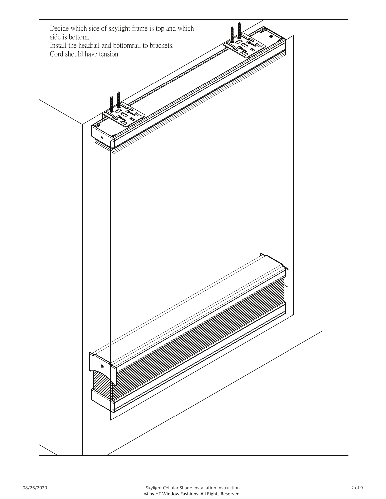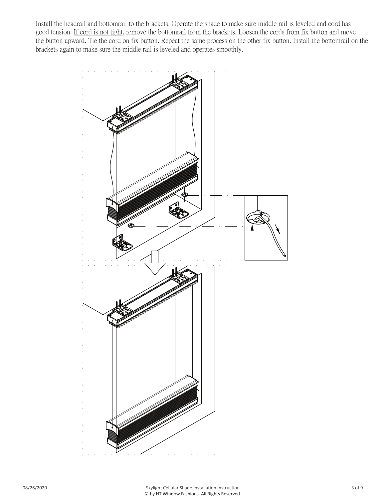Install the headrail and bottomrail to the brackets. Operate the shade to make sure middle rail is leveled and cord has good tension. If cord is not tight, remove the bottomrail from the brackets. Loosen the cords from fix button and move the button upward. Tie the cord on fix button. Repeat the same process on the other fix button. Install the bottomrail on the brackets again to make sure the middle rail is leveled and operates smoothly.

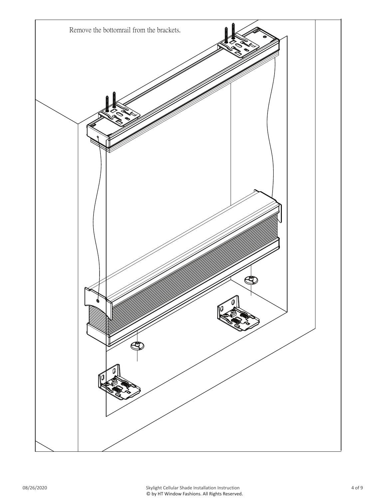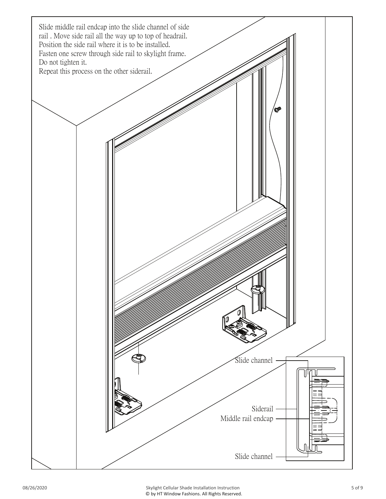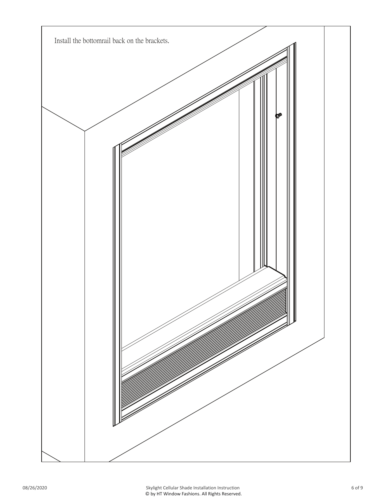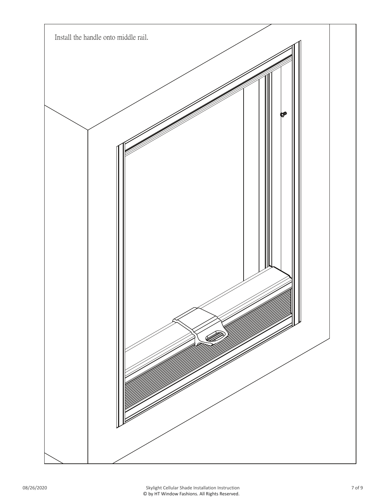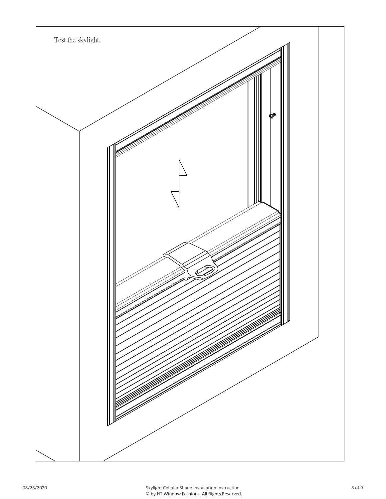